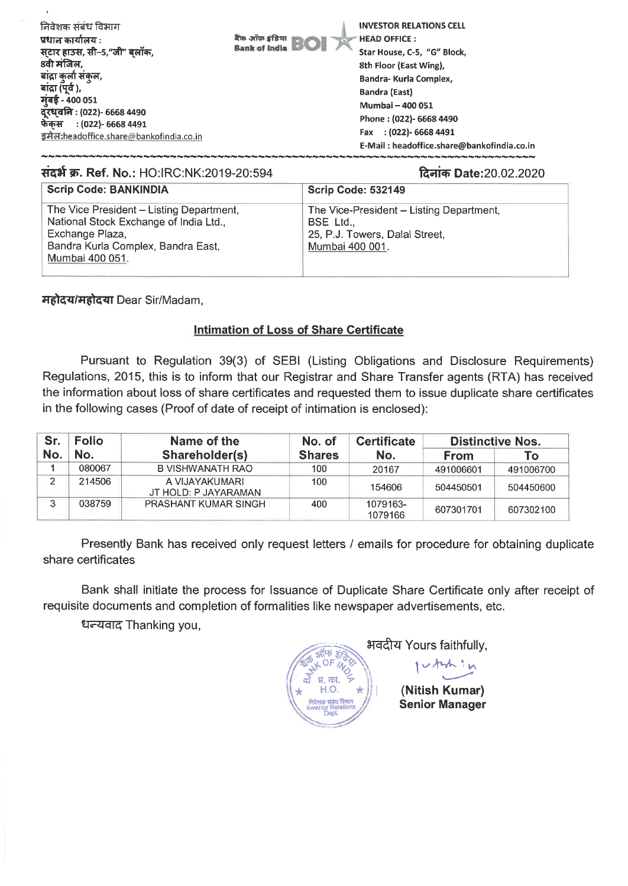| निवेशक संबंध विभाग<br>प्रधान कार्यालय :<br>सटार हाउस, सी–5,"जी" बलॉक,<br>8वी मंजिल,<br>बांद्रा कुर्ला संकुल,<br>बांद्रा (पूर्व ),<br>मुंबई - 400 051<br>दूरध्वनि : (022)- 6668 4490<br>फेंकस : (022)- 6668 4491<br>इमेल:headoffice.share@bankofindia.co.in | बैंक ऑफ़ इंडिया।<br><b>Bank of India</b> | <b>INVESTOR RELATIONS CELL</b><br><b>HEAD OFFICE:</b><br>Star House, C-5, "G" Block,<br>8th Floor (East Wing),<br>Bandra- Kurla Complex,<br>Bandra (East)<br>Mumbai - 400 051<br>Phone: (022)- 6668 4490<br>Fax : (022)- 6668 4491<br>E-Mail: headoffice.share@bankofindia.co.in |
|------------------------------------------------------------------------------------------------------------------------------------------------------------------------------------------------------------------------------------------------------------|------------------------------------------|----------------------------------------------------------------------------------------------------------------------------------------------------------------------------------------------------------------------------------------------------------------------------------|
|                                                                                                                                                                                                                                                            |                                          |                                                                                                                                                                                                                                                                                  |

## **संदर्भ क्र. Ref. No.: HO:IRC:NK:2019-20:594 201410 2014 20141 20:594 20:594 20:02 20:02 20:02 20:02 20:02 20:0**

| <b>Scrip Code: BANKINDIA</b>                                                                                                                                   | <b>Scrip Code: 532149</b>                                                                                  |
|----------------------------------------------------------------------------------------------------------------------------------------------------------------|------------------------------------------------------------------------------------------------------------|
| The Vice President - Listing Department,<br>National Stock Exchange of India Ltd.,<br>Exchange Plaza,<br>Bandra Kurla Complex, Bandra East,<br>Mumbai 400 051. | The Vice-President - Listing Department,<br>BSE Ltd.,<br>25, P.J. Towers, Dalal Street,<br>Mumbai 400 001. |

महोदय/महोदया Dear Sir/Madam,

## **Intimation of Loss of Share Certificate**

Pursuant to Regulation 39(3) of SEBI (Listing Obligations and Disclosure Requirements) Regulations, 2015, this is to inform that our Registrar and Share Transfer agents (RTA) has received the information about loss of share certificates and requested them to issue duplicate share certificates in the following cases (Proof of date of receipt of intimation is enclosed):

| Sr. | <b>Folio</b> | Name of the                            | No. of        | <b>Certificate</b>  |             | <b>Distinctive Nos.</b> |  |
|-----|--------------|----------------------------------------|---------------|---------------------|-------------|-------------------------|--|
| No. | No.          | Shareholder(s)                         | <b>Shares</b> | No.                 | <b>From</b> | То                      |  |
|     | 080067       | B VISHWANATH RAO                       | 100           | 20167               | 491006601   | 491006700               |  |
|     | 214506       | A VIJAYAKUMARI<br>JT HOLD: P JAYARAMAN | 100           | 154606              | 504450501   | 504450600               |  |
|     | 038759       | PRASHANT KUMAR SINGH                   | 400           | 1079163-<br>1079166 | 607301701   | 607302100               |  |

Presently Bank has received only request letters / emails for procedure for obtaining duplicate share certificates

Bank shall initiate the process for Issuance of Duplicate Share Certificate only after receipt of requisite documents and completion of formalities like newspaper advertisements, etc.

धन्यवाद Thanking you,

Mt-4Yours faithfully, yh 'n I **(Nitish Kumar) Senior Manager**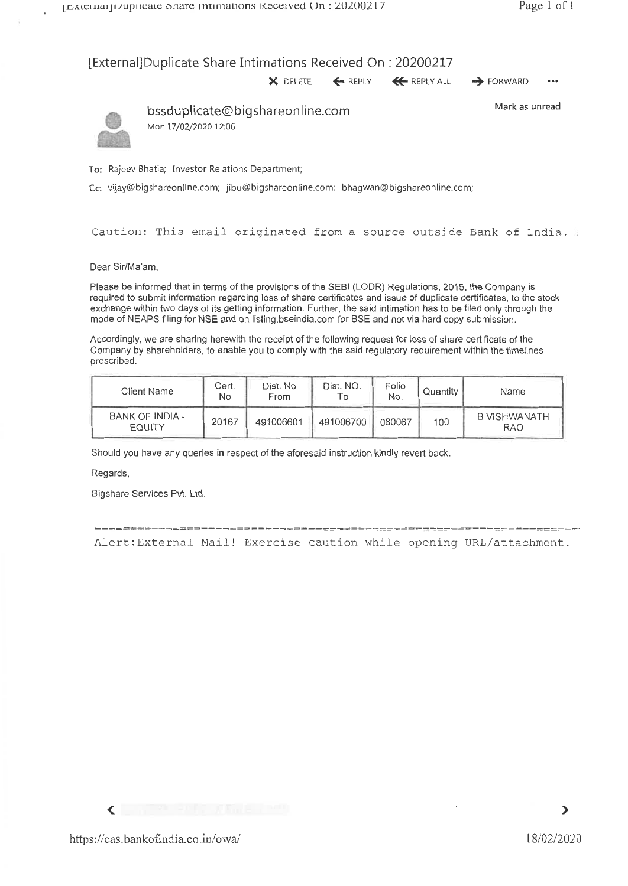## [External] Duplicate Share Intimations Received On : 20200217

 $\times$  delete  $\leftarrow$  reply  $\times$  reply all  $\rightarrow$  forward  $\cdots$ 



bssduplicate@bigshareonline.com Mark as unread Mon 17/02/2020 12:06

To: Rajeev Bhatia; Investor Relations Department;

Cc: vijay@bigshareonline.com; jibu@bigshareonline.com; bhagwan@bigshareonline.com;

Caution: This email originated from a source outside Bank of India.

Dear Sir/Ma'am,

Please be informed that in terms of the provisions of the SEBI (LODR) Regulations, 2015, the Company is required to submit information regarding loss of share certificates and issue of duplicate certificates, to the stock exchange within two days of its getting information. Further, the said intimation has to be filed only through the mode of NEAPS filing for NSE and on listing.bseindia.com for BSE and not via hard copy submission.

Accordingly, we are sharing herewith the receipt of the following request for loss of share certificate of the Company by shareholders, to enable you to comply with the said regulatory requirement within the timelines prescribed.

| Client Name                      | Cert.<br>No | Dist. No<br>From | Dist. NO.<br>l O | Folio<br>No. | Quantity | Name                              |
|----------------------------------|-------------|------------------|------------------|--------------|----------|-----------------------------------|
| BANK OF INDIA -<br><b>EQUITY</b> | 20167       | 491006601        | 491006700        | 080067       | 100      | <b>B VISHWANATH</b><br><b>RAO</b> |

Should you have any queries in respect of the aforesaid instruction kindly revert back.

Regards.

Bigshare Services Pvt. Ltd.

Alert:External Mail! Exercise caution while opening URL/attachment.

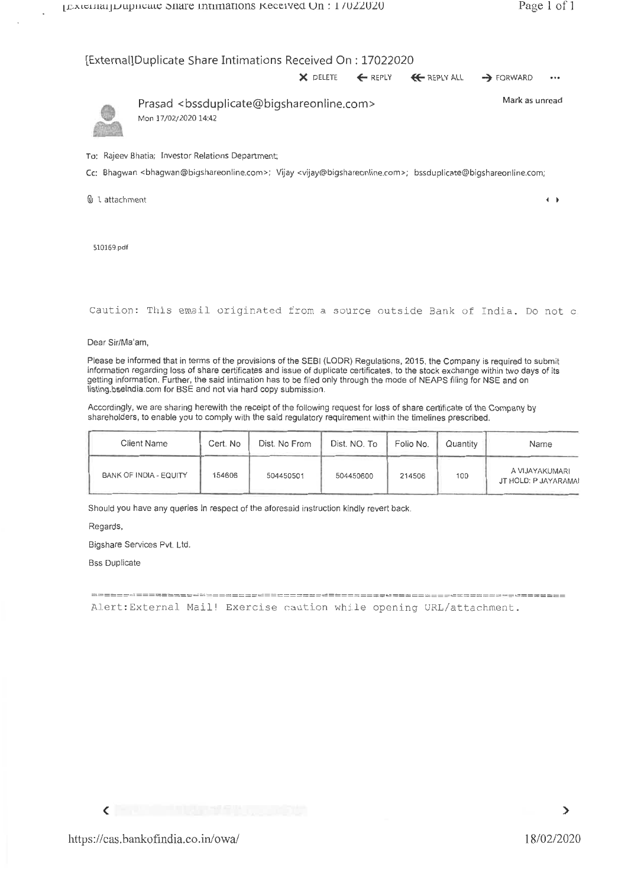$\leftarrow$ 

### [External]Duplicate Share Intimations Received On : 17022020

|  | $\times$ DELETE $\leftarrow$ REPLY $\leftarrow$ REPLY ALL $\rightarrow$ FORWARD | $$ |
|--|---------------------------------------------------------------------------------|----|



Prasad <bssduplicate@bigshareonline.com> Mark as unread Mon 17/02/2020 14:42

To: Rajeev Bhatia; Investor Relations Department;

Cc: Bhagwan <bhagwan@bigshareonline.com>; Vijay <vijay@bigshareonline.com>; bssduplicate@bigshareonline.com;

a 1 attachment

510169.pdf

```
Caution: This email originated from a source outside Bank of India. Do not c
```
Dear Sir/Ma'am,

Please be informed that in terms of the provisions of the SEBI (LODR) Regulations, 2015, the Company is required to submit information regarding loss of share certificates and issue of duplicate certificates, to the stock exchange within two days of its getting information. Further, the said intimation has to be filed only through the mode of NEAPS filing for NSE and on listing.bseindia.com for BSE and not via hard copy submission.

Accordingly, we are sharing herewith the receipt of the following request for loss of share certificate of the Company by shareholders, to enable you to comply with the said regulatory requirement within the timelines prescribed.

| Client Name            | Cert. No | Dist. No From | Dist. NO. To | Folio No. | Quantity | Name                                   |
|------------------------|----------|---------------|--------------|-----------|----------|----------------------------------------|
| BANK OF INDIA - EQUITY | 154606   | 504450501     | 504450600    | 214506    | 100      | A VIJAYAKUMARI<br>JT HOLD: P JAYARAMAI |

Should you have any queries in respect of the aforesaid instruction kindly revert back.

Regards,

Bigshare Services Pvt. Ltd.

Bss Duplicate

Alert:External Mail! Exercise caution while opening URL/attachment.

 $\checkmark$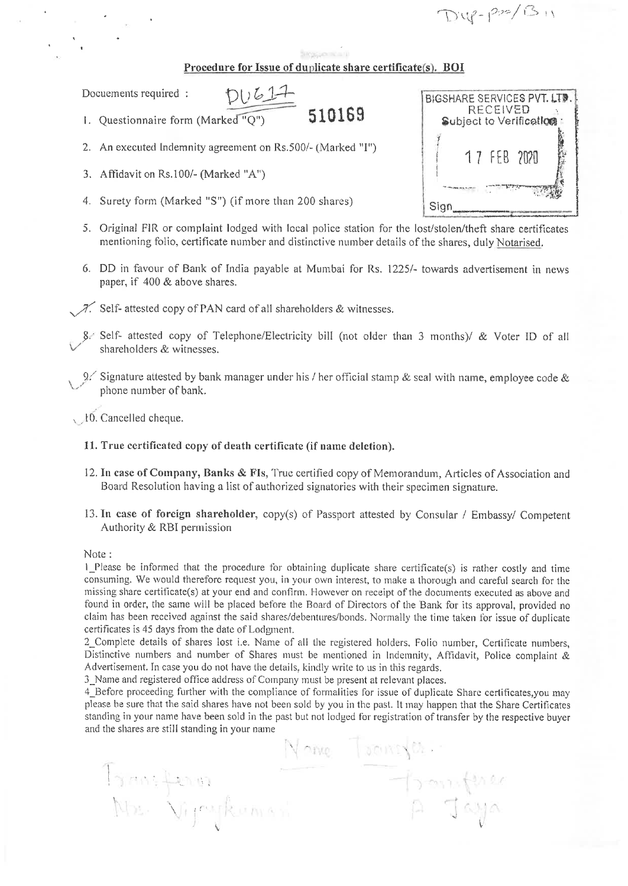D'4-P=1311

## Procedure for Issue of duplicate share certificate(s). BOI

Docuements required :

- 1. Questionnaire form (Marked "Q") 510169
- 2. An executed Indemnity agreement on Rs.500/- (Marked "I")

 $DU617$ 

- 3. Affidavit on Rs.100/- (Marked "A")
- 4. Surety form (Marked "S") (if more than 200 shares)
- 5. Original FIR or complaint lodged with local police station for the lost/stolen/theft share certificates mentioning folio, certificate number and distinctive number details of the shares, duly Notarised.
- 6. DD in favour of Bank of India payable at Mumbai for Rs. 1225/- towards advertisement in news paper, if 400 & above shares.
- $\mathcal{I}$ . Self- attested copy of PAN card of all shareholders & witnesses.
	- Self- attested copy of Telephone/Electricity bill (not older than 3 months)/ & Voter ID of all shareholders & witnesses.
	- 9. Signature attested by bank manager under his / her official stamp & seal with name, employee code & phone number of bank.

10. Cancelled cheque.

- 11. True certificated copy of death certificate (if name deletion).
- 12. In case of Company, Banks & FIs, True certified copy of Memorandum, Articles of Association and Board Resolution having a list of authorized signatories with their specimen signature.
- 13. In case of foreign shareholder, copy(s) of Passport attested by Consular / Embassy/ Competent Authority & RBI permission

Note:

I Please be informed that the procedure for obtaining duplicate share certificate(s) is rather costly and time consuming. We would therefore request you, in your own interest, to make a thorough and careful search for the missing share certificate(s) at your end and confirm. However on receipt of the documents executed as above and found in order, the same will be placed before the Board of Directors of the Bank for its approval, provided no claim has been received against the said shares/debentures/bonds. Normally the time taken for issue of duplicate certificates is 45 days from the date of Lodgment.

2\_Complete details of shares lost i.e. Name of all the registered holders, Folio number, Certificate numbers, Distinctive numbers and number of Shares must be mentioned in Indemnity, Affidavit, Police complaint  $\&$ Advertisement. In case you do not have the details, kindly write to us in this regards.

3. Name and registered office address of Company must be present at relevant places.

4Before proceeding further with the compliance of formalities for issue of duplicate Share certificates,you may please he sure that the said shares have not been sold by you in the past. It may happen that the Share Certificates standing in your name have been sold in the past but not lodged for registration of transfer by the respective buyer and the shares are still standing in your name

None Tomma Tronsferon Trantuce<br>A Jaya

|      | RECEIVED | BIGSHARE SERVICES PVT. LTD. |  |
|------|----------|-----------------------------|--|
|      |          | Subject to Verification     |  |
|      |          | 1 7 FEB 2020                |  |
|      |          |                             |  |
| Sign |          |                             |  |
|      |          |                             |  |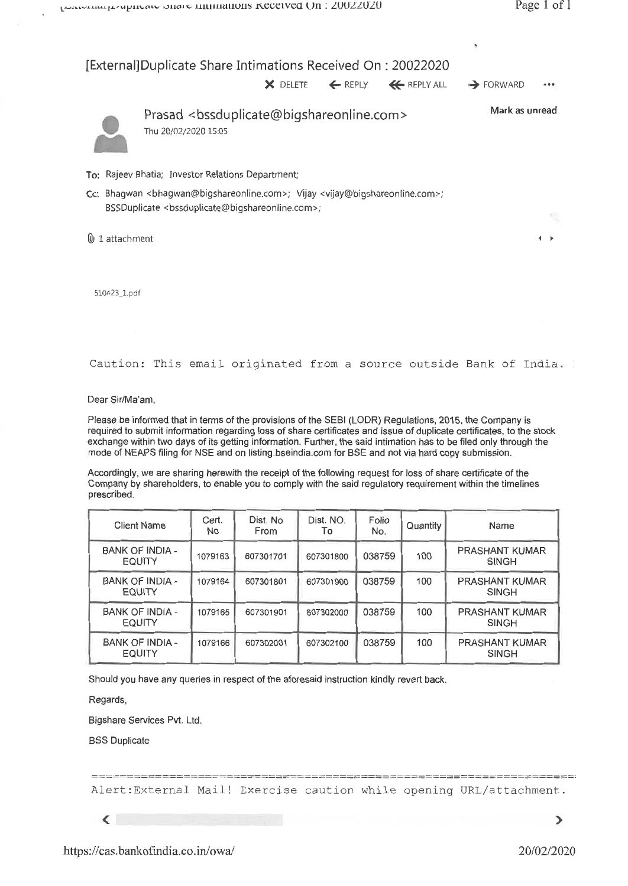

510423 J.pd

Caution: This email originated from a source outside Bank of India.

Dear Sir/Ma'am,

Please be informed that in terms of the provisions of the SEBI (LODR) Regulations, 2015, the Company is required to submit information regarding loss of share certificates and issue of duplicate certificates, to the stock exchange within two days of its getting information. Further, the said intimation has to be filed only through the mode of NEAPS filing for NSE and on listing.bseindia.com for BSE and not via hard copy submission.

Accordingly, we are sharing herewith the receipt of the following request for loss of share certificate of the Company by shareholders, to enable you to comply with the said regulatory requirement within the timelines prescribed.

| <b>Client Name</b>                      | Cert.<br>No. | Dist. No<br>From | Dist. NO.<br>To | Folio<br>No. | Quantity | Name                                  |
|-----------------------------------------|--------------|------------------|-----------------|--------------|----------|---------------------------------------|
| BANK OF INDIA -<br><b>EQUITY</b>        | 1079163      | 607301701        | 607301800       | 038759       | 100      | PRASHANT KUMAR<br><b>SINGH</b>        |
| <b>BANK OF INDIA -</b><br><b>EQUITY</b> | 1079164      | 607301801        | 607301900       | 038759       | 100      | PRASHANT KUMAR<br><b>SINGH</b>        |
| <b>BANK OF INDIA -</b><br><b>EQUITY</b> | 1079165      | 607301901        | 607302000       | 038759       | 100      | <b>PRASHANT KUMAR</b><br><b>SINGH</b> |
| <b>BANK OF INDIA -</b><br><b>EQUITY</b> | 1079166      | 607302001        | 607302100       | 038759       | 100      | <b>PRASHANT KUMAR</b><br><b>SINGH</b> |

Should you have any queries in respect of the aforesaid instruction kindly revert back.

Regards,

Bigshare Services Pvt. Ltd.

BSS Duplicate

Alert:External Mail! Exercise caution while opening URL/attachment.

 $\sqrt{2}$